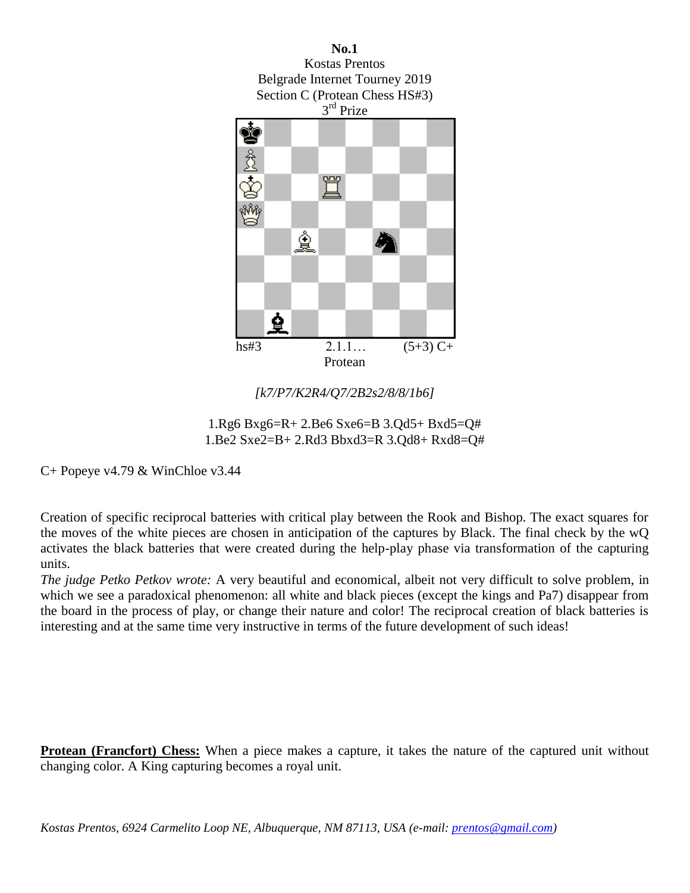

*[k7/P7/K2R4/Q7/2B2s2/8/8/1b6]*



C+ Popeye v4.79 & WinChloe v3.44

Creation of specific reciprocal batteries with critical play between the Rook and Bishop. The exact squares for the moves of the white pieces are chosen in anticipation of the captures by Black. The final check by the wQ activates the black batteries that were created during the help-play phase via transformation of the capturing units.

*The judge Petko Petkov wrote:* A very beautiful and economical, albeit not very difficult to solve problem, in which we see a paradoxical phenomenon: all white and black pieces (except the kings and Pa7) disappear from the board in the process of play, or change their nature and color! The reciprocal creation of black batteries is interesting and at the same time very instructive in terms of the future development of such ideas!

**Protean (Francfort) Chess:** When a piece makes a capture, it takes the nature of the captured unit without changing color. A King capturing becomes a royal unit.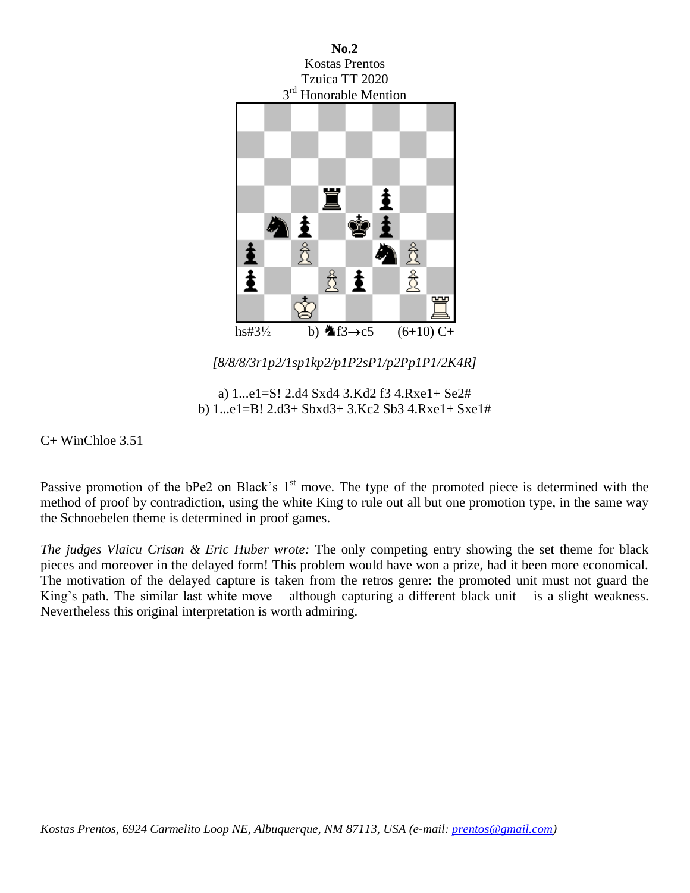

*[8/8/8/3r1p2/1sp1kp2/p1P2sP1/p2Pp1P1/2K4R]*

a) 1...e1=S! 2.d4 Sxd4 3.Kd2 f3 4.Rxe1+ Se2# b) 1...e1=B! 2.d3+ Sbxd3+ 3.Kc2 Sb3 4.Rxe1+ Sxe1#

C+ WinChloe 3.51

Passive promotion of the bPe2 on Black's 1<sup>st</sup> move. The type of the promoted piece is determined with the method of proof by contradiction, using the white King to rule out all but one promotion type, in the same way the Schnoebelen theme is determined in proof games.

*The judges Vlaicu Crisan & Eric Huber wrote:* The only competing entry showing the set theme for black pieces and moreover in the delayed form! This problem would have won a prize, had it been more economical. The motivation of the delayed capture is taken from the retros genre: the promoted unit must not guard the King's path. The similar last white move – although capturing a different black unit – is a slight weakness. Nevertheless this original interpretation is worth admiring.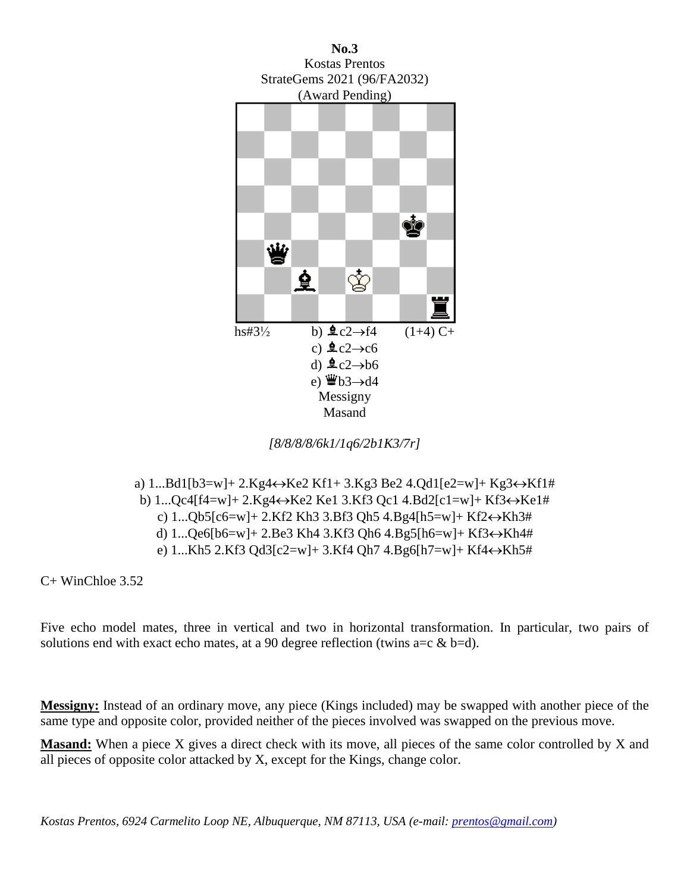

*[8/8/8/8/6k1/1q6/2b1K3/7r]*

a) 1...Bd1[b3=w]+ 2.Kg4Ke2 Kf1+ 3.Kg3 Be2 4.Qd1[e2=w]+ Kg3Kf1# b) 1...Qc4[f4=w]+ 2.Kg4Ke2 Ke1 3.Kf3 Qc1 4.Bd2[c1=w]+ Kf3Ke1# c) 1...Qb5[c6=w]+ 2.Kf2 Kh3 3.Bf3 Qh5 4.Bg4[h5=w]+ Kf2Kh3# d) 1...Qe6[b6=w]+ 2.Be3 Kh4 3.Kf3 Qh6 4.Bg5[h6=w]+ Kf3Kh4# e) 1...Kh5 2.Kf3 Qd3[c2=w]+ 3.Kf4 Qh7 4.Bg6[h7=w]+ Kf4Kh5#

C+ WinChloe 3.52

Five echo model mates, three in vertical and two in horizontal transformation. In particular, two pairs of solutions end with exact echo mates, at a 90 degree reflection (twins  $a=c \& b=d$ ).

**Messigny:** Instead of an ordinary move, any piece (Kings included) may be swapped with another piece of the same type and opposite color, provided neither of the pieces involved was swapped on the previous move.

**Masand:** When a piece X gives a direct check with its move, all pieces of the same color controlled by X and all pieces of opposite color attacked by X, except for the Kings, change color.

*Kostas Prentos, 6924 Carmelito Loop NE, Albuquerque, NM 87113, USA (e-mail: [prentos@gmail.com\)](mailto:prentos@gmail.com)*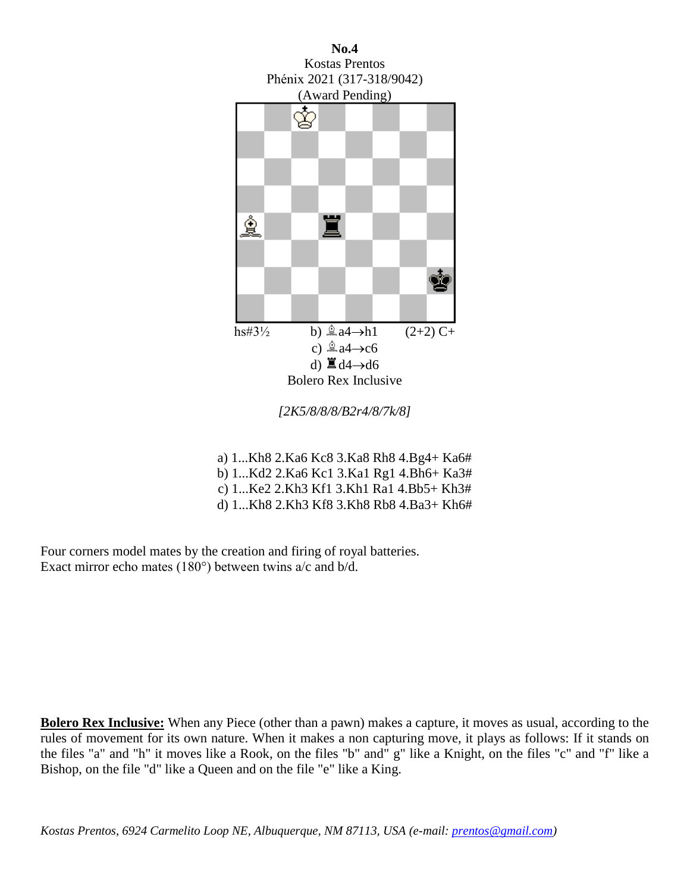

a) 1...Kh8 2.Ka6 Kc8 3.Ka8 Rh8 4.Bg4+ Ka6# b) 1...Kd2 2.Ka6 Kc1 3.Ka1 Rg1 4.Bh6+ Ka3# c) 1...Ke2 2.Kh3 Kf1 3.Kh1 Ra1 4.Bb5+ Kh3# d) 1...Kh8 2.Kh3 Kf8 3.Kh8 Rb8 4.Ba3+ Kh6#

Four corners model mates by the creation and firing of royal batteries. Exact mirror echo mates (180°) between twins a/c and b/d.

**Bolero Rex Inclusive:** When any Piece (other than a pawn) makes a capture, it moves as usual, according to the rules of movement for its own nature. When it makes a non capturing move, it plays as follows: If it stands on the files "a" and "h" it moves like a Rook, on the files "b" and" g" like a Knight, on the files "c" and "f" like a Bishop, on the file "d" like a Queen and on the file "e" like a King.

*Kostas Prentos, 6924 Carmelito Loop NE, Albuquerque, NM 87113, USA (e-mail: [prentos@gmail.com\)](mailto:prentos@gmail.com)*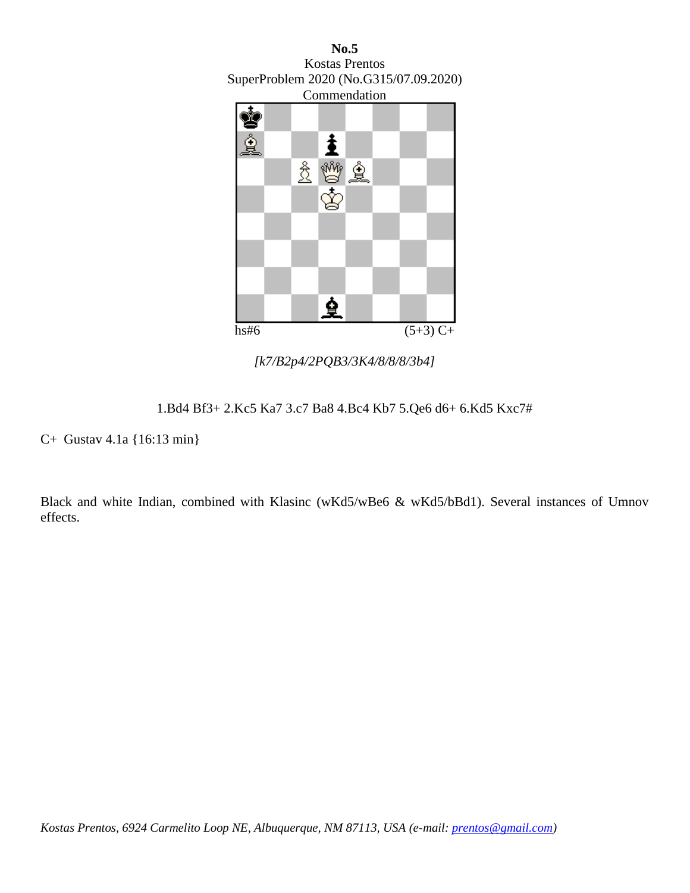

*[k7/B2p4/2PQB3/3K4/8/8/8/3b4]*

1.Bd4 Bf3+ 2.Kc5 Ka7 3.c7 Ba8 4.Bc4 Kb7 5.Qe6 d6+ 6.Kd5 Kxc7#

C+ Gustav 4.1a {16:13 min}

Black and white Indian, combined with Klasinc (wKd5/wBe6 & wKd5/bBd1). Several instances of Umnov effects.